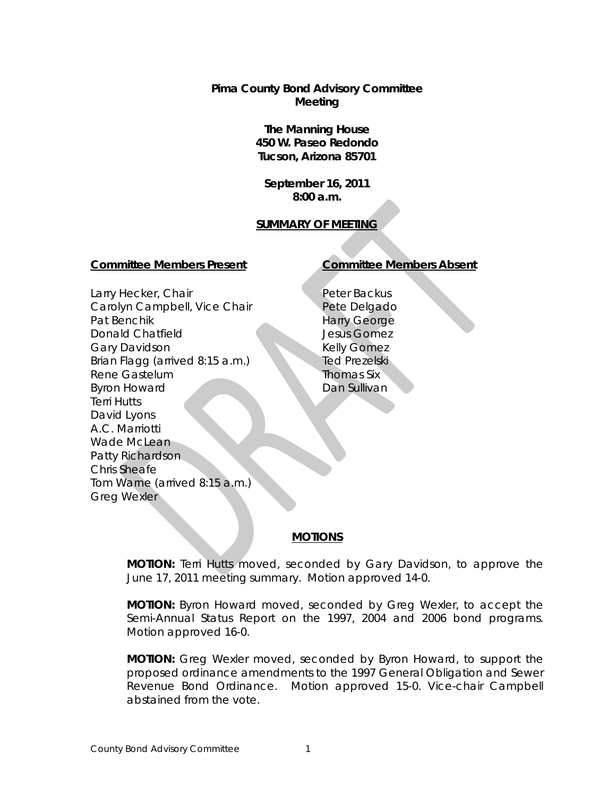**Pima County Bond Advisory Committee Meeting**

> **The Manning House 450 W. Paseo Redondo Tucson, Arizona 85701**

**September 16, 2011 8:00 a.m.**

# **SUMMARY OF MEETING**

#### **Committee Members Present Committee Members Absent**

Larry Hecker, Chair Carolyn Campbell, Vice Chair Pat Benchik Donald Chatfield Gary Davidson Brian Flagg (arrived 8:15 a.m.) Rene Gastelum Byron Howard Terri Hutts David Lyons A.C. Marriotti Wade McLean Patty Richardson Chris Sheafe Tom Warne (arrived 8:15 a.m.) Greg Wexler

Peter Backus Pete Delgado Harry George Jesus Gomez Kelly Gomez Ted Prezelski Thomas Six Dan Sullivan

# **MOTIONS**

**MOTION:** Terri Hutts moved, seconded by Gary Davidson, to approve the June 17, 2011 meeting summary. Motion approved 14-0.

**MOTION:** Byron Howard moved, seconded by Greg Wexler, to accept the Semi-Annual Status Report on the 1997, 2004 and 2006 bond programs. Motion approved 16-0.

**MOTION:** Greg Wexler moved, seconded by Byron Howard, to support the proposed ordinance amendments to the 1997 General Obligation and Sewer Revenue Bond Ordinance. Motion approved 15-0. Vice-chair Campbell abstained from the vote.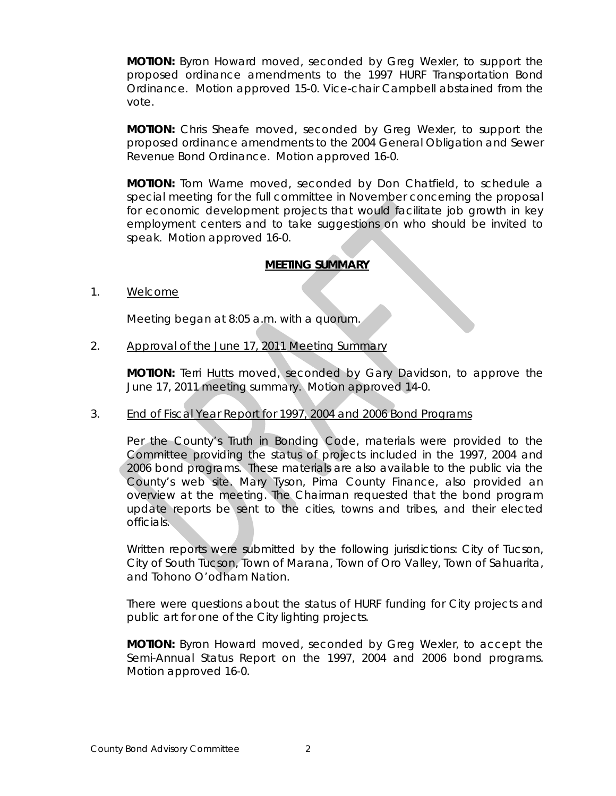**MOTION:** Byron Howard moved, seconded by Greg Wexler, to support the proposed ordinance amendments to the 1997 HURF Transportation Bond Ordinance. Motion approved 15-0. Vice-chair Campbell abstained from the vote.

**MOTION:** Chris Sheafe moved, seconded by Greg Wexler, to support the proposed ordinance amendments to the 2004 General Obligation and Sewer Revenue Bond Ordinance. Motion approved 16-0.

**MOTION:** Tom Warne moved, seconded by Don Chatfield, to schedule a special meeting for the full committee in November concerning the proposal for economic development projects that would facilitate job growth in key employment centers and to take suggestions on who should be invited to speak. Motion approved 16-0.

# **MEETING SUMMARY**

1. Welcome

Meeting began at 8:05 a.m. with a quorum.

2. Approval of the June 17, 2011 Meeting Summary

**MOTION:** Terri Hutts moved, seconded by Gary Davidson, to approve the June 17, 2011 meeting summary. Motion approved 14-0.

### 3. End of Fiscal Year Report for 1997, 2004 and 2006 Bond Programs

Per the County's Truth in Bonding Code, materials were provided to the Committee providing the status of projects included in the 1997, 2004 and 2006 bond programs. These materials are also available to the public via the County's web site. Mary Tyson, Pima County Finance, also provided an overview at the meeting. The Chairman requested that the bond program update reports be sent to the cities, towns and tribes, and their elected officials.

Written reports were submitted by the following jurisdictions: City of Tucson, City of South Tucson, Town of Marana, Town of Oro Valley, Town of Sahuarita, and Tohono O'odham Nation.

There were questions about the status of HURF funding for City projects and public art for one of the City lighting projects.

**MOTION:** Byron Howard moved, seconded by Greg Wexler, to accept the Semi-Annual Status Report on the 1997, 2004 and 2006 bond programs. Motion approved 16-0.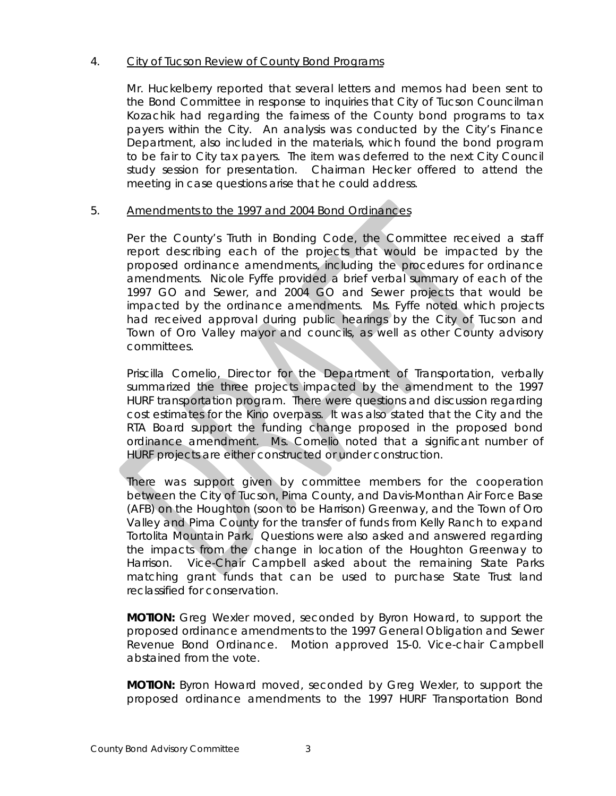# 4. City of Tucson Review of County Bond Programs

Mr. Huckelberry reported that several letters and memos had been sent to the Bond Committee in response to inquiries that City of Tucson Councilman Kozachik had regarding the fairness of the County bond programs to tax payers within the City. An analysis was conducted by the City's Finance Department, also included in the materials, which found the bond program to be fair to City tax payers. The item was deferred to the next City Council study session for presentation. Chairman Hecker offered to attend the meeting in case questions arise that he could address.

# 5. Amendments to the 1997 and 2004 Bond Ordinances

Per the County's Truth in Bonding Code, the Committee received a staff report describing each of the projects that would be impacted by the proposed ordinance amendments, including the procedures for ordinance amendments. Nicole Fyffe provided a brief verbal summary of each of the 1997 GO and Sewer, and 2004 GO and Sewer projects that would be impacted by the ordinance amendments. Ms. Fyffe noted which projects had received approval during public hearings by the City of Tucson and Town of Oro Valley mayor and councils, as well as other County advisory committees.

Priscilla Cornelio, Director for the Department of Transportation, verbally summarized the three projects impacted by the amendment to the 1997 HURF transportation program. There were questions and discussion regarding cost estimates for the Kino overpass. It was also stated that the City and the RTA Board support the funding change proposed in the proposed bond ordinance amendment. Ms. Cornelio noted that a significant number of HURF projects are either constructed or under construction.

There was support given by committee members for the cooperation between the City of Tucson, Pima County, and Davis-Monthan Air Force Base (AFB) on the Houghton (soon to be Harrison) Greenway, and the Town of Oro Valley and Pima County for the transfer of funds from Kelly Ranch to expand Tortolita Mountain Park. Questions were also asked and answered regarding the impacts from the change in location of the Houghton Greenway to Harrison. Vice-Chair Campbell asked about the remaining State Parks matching grant funds that can be used to purchase State Trust land reclassified for conservation.

**MOTION:** Greg Wexler moved, seconded by Byron Howard, to support the proposed ordinance amendments to the 1997 General Obligation and Sewer Revenue Bond Ordinance. Motion approved 15-0. Vice-chair Campbell abstained from the vote.

**MOTION:** Byron Howard moved, seconded by Greg Wexler, to support the proposed ordinance amendments to the 1997 HURF Transportation Bond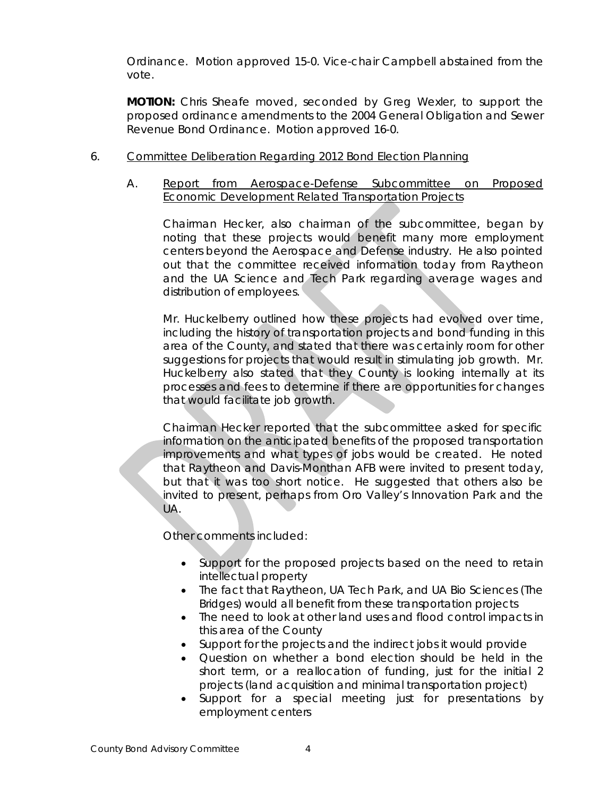Ordinance. Motion approved 15-0. Vice-chair Campbell abstained from the vote.

**MOTION:** Chris Sheafe moved, seconded by Greg Wexler, to support the proposed ordinance amendments to the 2004 General Obligation and Sewer Revenue Bond Ordinance. Motion approved 16-0.

# 6. Committee Deliberation Regarding 2012 Bond Election Planning

# A. Report from Aerospace-Defense Subcommittee on Proposed Economic Development Related Transportation Projects

Chairman Hecker, also chairman of the subcommittee, began by noting that these projects would benefit many more employment centers beyond the Aerospace and Defense industry. He also pointed out that the committee received information today from Raytheon and the UA Science and Tech Park regarding average wages and distribution of employees.

Mr. Huckelberry outlined how these projects had evolved over time, including the history of transportation projects and bond funding in this area of the County, and stated that there was certainly room for other suggestions for projects that would result in stimulating job growth. Mr. Huckelberry also stated that they County is looking internally at its processes and fees to determine if there are opportunities for changes that would facilitate job growth.

Chairman Hecker reported that the subcommittee asked for specific information on the anticipated benefits of the proposed transportation improvements and what types of jobs would be created. He noted that Raytheon and Davis-Monthan AFB were invited to present today, but that it was too short notice. He suggested that others also be invited to present, perhaps from Oro Valley's Innovation Park and the UA.

Other comments included:

- Support for the proposed projects based on the need to retain intellectual property
- The fact that Raytheon, UA Tech Park, and UA Bio Sciences (The Bridges) would all benefit from these transportation projects
- The need to look at other land uses and flood control impacts in this area of the County
- Support for the projects and the indirect jobs it would provide
- Question on whether a bond election should be held in the short term, or a reallocation of funding, just for the initial 2 projects (land acquisition and minimal transportation project)
- Support for a special meeting just for presentations by employment centers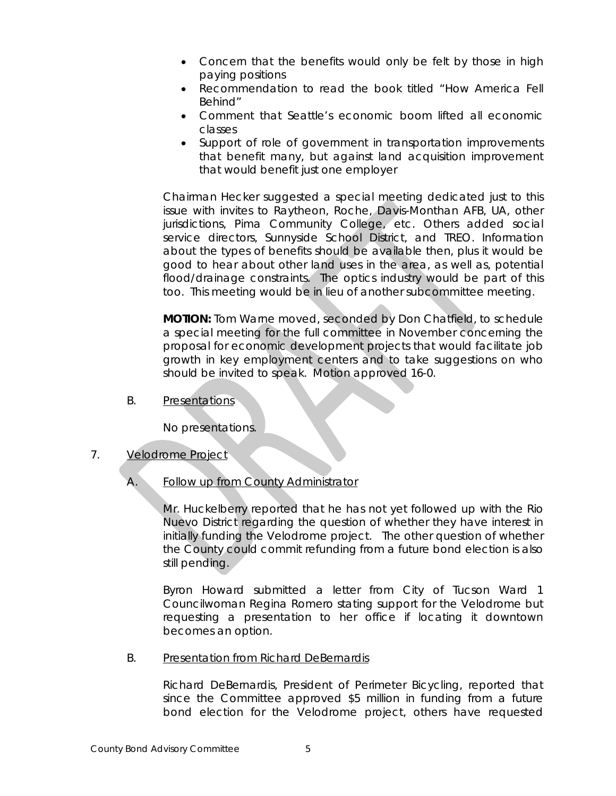- Concern that the benefits would only be felt by those in high paying positions
- Recommendation to read the book titled "How America Fell Behind"
- Comment that Seattle's economic boom lifted all economic classes
- Support of role of government in transportation improvements that benefit many, but against land acquisition improvement that would benefit just one employer

Chairman Hecker suggested a special meeting dedicated just to this issue with invites to Raytheon, Roche, Davis-Monthan AFB, UA, other jurisdictions, Pima Community College, etc. Others added social service directors, Sunnyside School District, and TREO. Information about the types of benefits should be available then, plus it would be good to hear about other land uses in the area, as well as, potential flood/drainage constraints. The optics industry would be part of this too. This meeting would be in lieu of another subcommittee meeting.

**MOTION:** Tom Warne moved, seconded by Don Chatfield, to schedule a special meeting for the full committee in November concerning the proposal for economic development projects that would facilitate job growth in key employment centers and to take suggestions on who should be invited to speak. Motion approved 16-0.

B. Presentations

No presentations.

### 7. Velodrome Project

A. Follow up from County Administrator

Mr. Huckelberry reported that he has not yet followed up with the Rio Nuevo District regarding the question of whether they have interest in initially funding the Velodrome project. The other question of whether the County could commit refunding from a future bond election is also still pending.

Byron Howard submitted a letter from City of Tucson Ward 1 Councilwoman Regina Romero stating support for the Velodrome but requesting a presentation to her office if locating it downtown becomes an option.

B. Presentation from Richard DeBernardis

Richard DeBernardis, President of Perimeter Bicycling, reported that since the Committee approved \$5 million in funding from a future bond election for the Velodrome project, others have requested